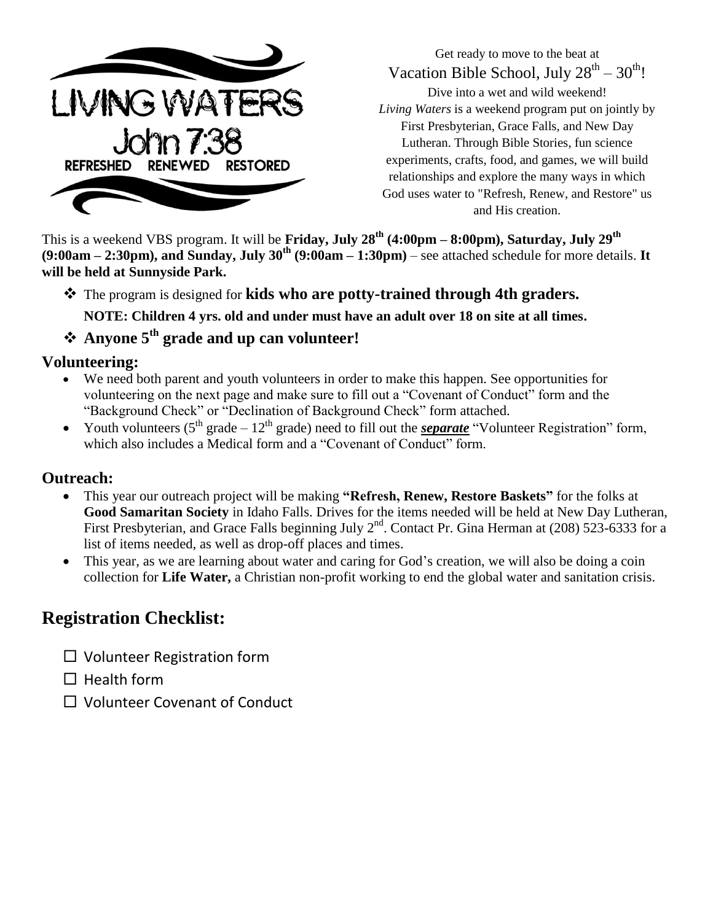

Get ready to move to the beat at Vacation Bible School, July  $28^{th} - 30^{th}$ !

Dive into a wet and wild weekend! *Living Waters* is a weekend program put on jointly by First Presbyterian, Grace Falls, and New Day Lutheran. Through Bible Stories, fun science experiments, crafts, food, and games, we will build relationships and explore the many ways in which God uses water to "Refresh, Renew, and Restore" us and His creation.

This is a weekend VBS program. It will be **Friday, July 28th (4:00pm – 8:00pm), Saturday, July 29th (9:00am – 2:30pm), and Sunday, July 30th (9:00am – 1:30pm)** – see attached schedule for more details. **It will be held at Sunnyside Park.**

The program is designed for **kids who are potty-trained through 4th graders.** 

**NOTE: Children 4 yrs. old and under must have an adult over 18 on site at all times.**

### **Anyone 5th grade and up can volunteer!**

#### **Volunteering:**

- We need both parent and youth volunteers in order to make this happen. See opportunities for volunteering on the next page and make sure to fill out a "Covenant of Conduct" form and the "Background Check" or "Declination of Background Check" form attached.
- Youth volunteers  $(5^{th} \text{ grade} 12^{th} \text{ grade})$  need to fill out the *separate* "Volunteer Registration" form, which also includes a Medical form and a "Covenant of Conduct" form.

### **Outreach:**

- This year our outreach project will be making **"Refresh, Renew, Restore Baskets"** for the folks at **Good Samaritan Society** in Idaho Falls. Drives for the items needed will be held at New Day Lutheran, First Presbyterian, and Grace Falls beginning July  $2^{nd}$ . Contact Pr. Gina Herman at (208) 523-6333 for a list of items needed, as well as drop-off places and times.
- This year, as we are learning about water and caring for God's creation, we will also be doing a coin collection for **Life Water,** a Christian non-profit working to end the global water and sanitation crisis.

### **Registration Checklist:**

- $\square$  Volunteer Registration form
- $\Box$  Health form
- $\Box$  Volunteer Covenant of Conduct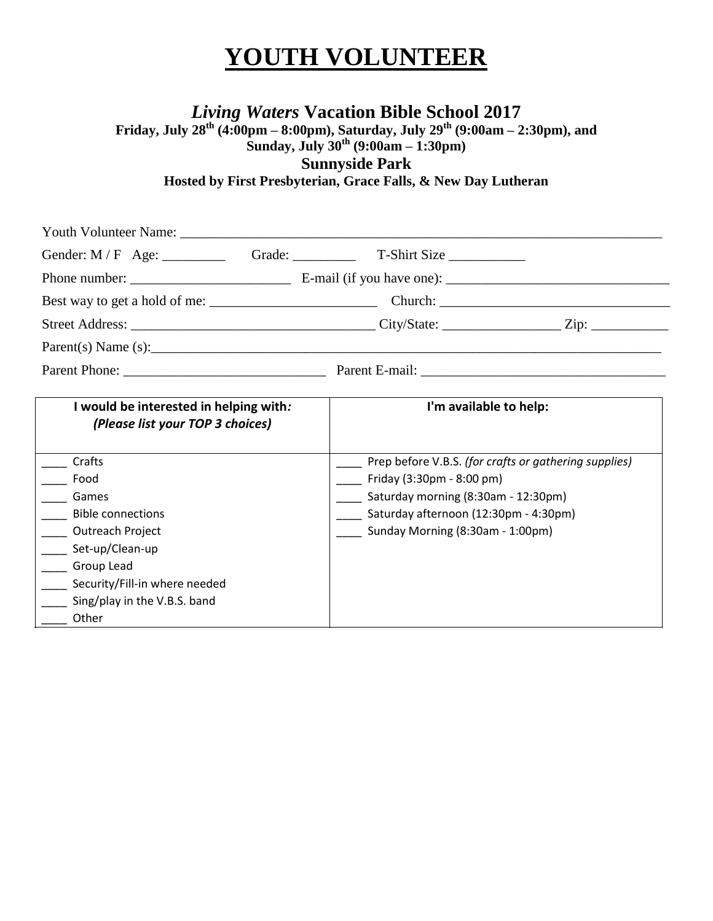## **YOUTH VOLUNTEER**

*Living Waters* **Vacation Bible School 2017**

**Friday, July 28th (4:00pm – 8:00pm), Saturday, July 29th (9:00am – 2:30pm), and** 

**Sunday, July 30th (9:00am – 1:30pm)**

**Sunnyside Park**

**Hosted by First Presbyterian, Grace Falls, & New Day Lutheran**

| Gender: M/F Age: Grade: Grade: T-Shirt Size                                                                                                                                                                               |                                                                                                                                                                                                        |  |  |
|---------------------------------------------------------------------------------------------------------------------------------------------------------------------------------------------------------------------------|--------------------------------------------------------------------------------------------------------------------------------------------------------------------------------------------------------|--|--|
|                                                                                                                                                                                                                           |                                                                                                                                                                                                        |  |  |
|                                                                                                                                                                                                                           |                                                                                                                                                                                                        |  |  |
|                                                                                                                                                                                                                           |                                                                                                                                                                                                        |  |  |
| Parent(s) Name(s):                                                                                                                                                                                                        |                                                                                                                                                                                                        |  |  |
|                                                                                                                                                                                                                           |                                                                                                                                                                                                        |  |  |
| I would be interested in helping with:<br>(Please list your TOP 3 choices)                                                                                                                                                | I'm available to help:                                                                                                                                                                                 |  |  |
| <b>Crafts</b><br>Food<br>____ Games<br>____ Bible connections<br><b>Contreach Project</b><br>____ Set-up/Clean-up<br>_____ Group Lead<br>____ Security/Fill-in where needed<br>____ Sing/play in the V.B.S. band<br>Other | Prep before V.B.S. (for crafts or gathering supplies)<br>Friday (3:30pm - 8:00 pm)<br>Saturday morning (8:30am - 12:30pm)<br>Saturday afternoon (12:30pm - 4:30pm)<br>Sunday Morning (8:30am - 1:00pm) |  |  |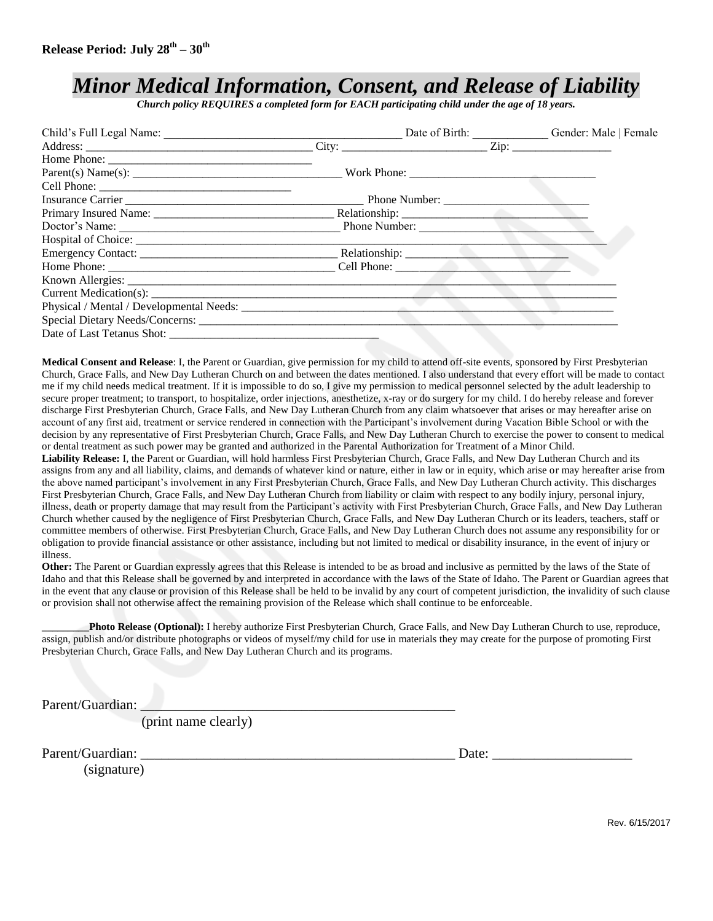### *Minor Medical Information, Consent, and Release of Liability*

*Church policy REQUIRES a completed form for EACH participating child under the age of 18 years.*

|                                     |  | Date of Birth: Gender: Male   Female |  |
|-------------------------------------|--|--------------------------------------|--|
|                                     |  |                                      |  |
|                                     |  |                                      |  |
|                                     |  |                                      |  |
|                                     |  |                                      |  |
|                                     |  |                                      |  |
|                                     |  |                                      |  |
|                                     |  |                                      |  |
|                                     |  |                                      |  |
|                                     |  |                                      |  |
| Home Phone: Cell Phone: Cell Phone: |  |                                      |  |
|                                     |  |                                      |  |
|                                     |  |                                      |  |
|                                     |  |                                      |  |
|                                     |  |                                      |  |
|                                     |  |                                      |  |

**Medical Consent and Release**: I, the Parent or Guardian, give permission for my child to attend off-site events, sponsored by First Presbyterian Church, Grace Falls, and New Day Lutheran Church on and between the dates mentioned. I also understand that every effort will be made to contact me if my child needs medical treatment. If it is impossible to do so, I give my permission to medical personnel selected by the adult leadership to secure proper treatment; to transport, to hospitalize, order injections, anesthetize, x-ray or do surgery for my child. I do hereby release and forever discharge First Presbyterian Church, Grace Falls, and New Day Lutheran Church from any claim whatsoever that arises or may hereafter arise on account of any first aid, treatment or service rendered in connection with the Participant's involvement during Vacation Bible School or with the decision by any representative of First Presbyterian Church, Grace Falls, and New Day Lutheran Church to exercise the power to consent to medical or dental treatment as such power may be granted and authorized in the Parental Authorization for Treatment of a Minor Child.

**Liability Release:** I, the Parent or Guardian, will hold harmless First Presbyterian Church, Grace Falls, and New Day Lutheran Church and its assigns from any and all liability, claims, and demands of whatever kind or nature, either in law or in equity, which arise or may hereafter arise from the above named participant's involvement in any First Presbyterian Church, Grace Falls, and New Day Lutheran Church activity. This discharges First Presbyterian Church, Grace Falls, and New Day Lutheran Church from liability or claim with respect to any bodily injury, personal injury, illness, death or property damage that may result from the Participant's activity with First Presbyterian Church, Grace Falls, and New Day Lutheran Church whether caused by the negligence of First Presbyterian Church, Grace Falls, and New Day Lutheran Church or its leaders, teachers, staff or committee members of otherwise. First Presbyterian Church, Grace Falls, and New Day Lutheran Church does not assume any responsibility for or obligation to provide financial assistance or other assistance, including but not limited to medical or disability insurance, in the event of injury or illness.

**Other:** The Parent or Guardian expressly agrees that this Release is intended to be as broad and inclusive as permitted by the laws of the State of Idaho and that this Release shall be governed by and interpreted in accordance with the laws of the State of Idaho. The Parent or Guardian agrees that in the event that any clause or provision of this Release shall be held to be invalid by any court of competent jurisdiction, the invalidity of such clause or provision shall not otherwise affect the remaining provision of the Release which shall continue to be enforceable.

**\_\_\_\_\_\_\_\_\_Photo Release (Optional):** I hereby authorize First Presbyterian Church, Grace Falls, and New Day Lutheran Church to use, reproduce, assign, publish and/or distribute photographs or videos of myself/my child for use in materials they may create for the purpose of promoting First Presbyterian Church, Grace Falls, and New Day Lutheran Church and its programs.

Parent/Guardian:

(print name clearly)

Parent/Guardian: \_\_\_\_\_\_\_\_\_\_\_\_\_\_\_\_\_\_\_\_\_\_\_\_\_\_\_\_\_\_\_\_\_\_\_\_\_\_\_\_\_\_\_\_\_ Date: \_\_\_\_\_\_\_\_\_\_\_\_\_\_\_\_\_\_\_\_

(signature)

Rev. 6/15/2017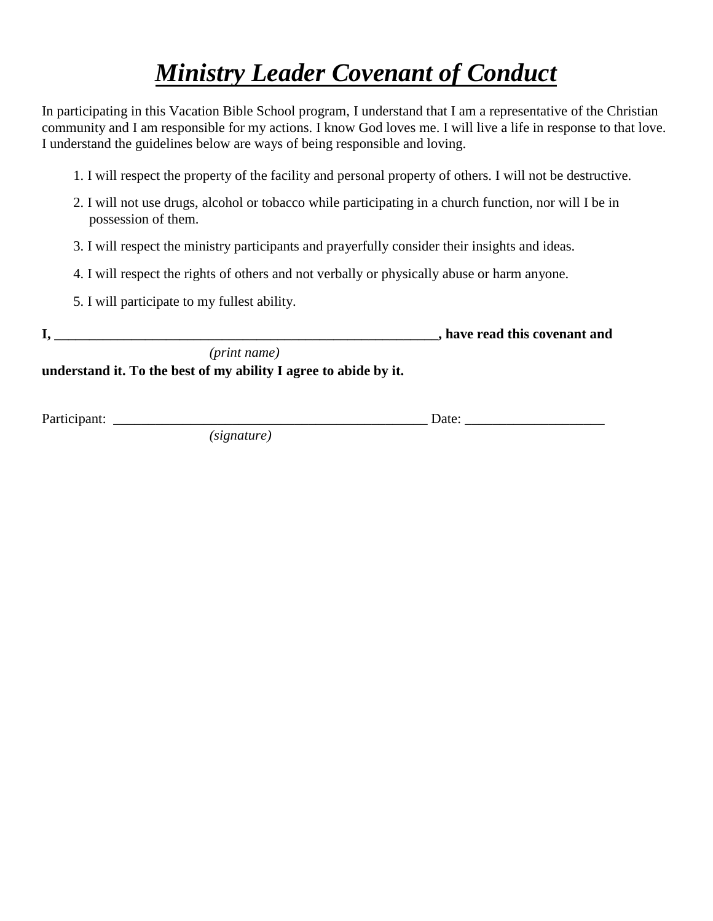## *Ministry Leader Covenant of Conduct*

In participating in this Vacation Bible School program, I understand that I am a representative of the Christian community and I am responsible for my actions. I know God loves me. I will live a life in response to that love. I understand the guidelines below are ways of being responsible and loving.

- 1. I will respect the property of the facility and personal property of others. I will not be destructive.
- 2. I will not use drugs, alcohol or tobacco while participating in a church function, nor will I be in possession of them.
- 3. I will respect the ministry participants and prayerfully consider their insights and ideas.
- 4. I will respect the rights of others and not verbally or physically abuse or harm anyone.
- 5. I will participate to my fullest ability.

| - |              | , have read this covenant and |
|---|--------------|-------------------------------|
|   | (print name) |                               |

**understand it. To the best of my ability I agree to abide by it.** 

Participant: \_\_\_\_\_\_\_\_\_\_\_\_\_\_\_\_\_\_\_\_\_\_\_\_\_\_\_\_\_\_\_\_\_\_\_\_\_\_\_\_\_\_\_\_\_ Date: \_\_\_\_\_\_\_\_\_\_\_\_\_\_\_\_\_\_\_\_

*(signature)*